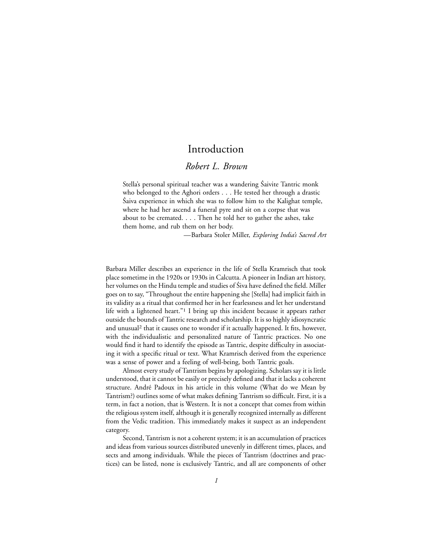## *Robert L. Brown*

Stella's personal spiritual teacher was a wandering Śaivite Tantric monk who belonged to the Aghori orders . . . He tested her through a drastic Saiva experience in which she was to follow him to the Kalighat temple, ´ where he had her ascend a funeral pyre and sit on a corpse that was about to be cremated. . . . Then he told her to gather the ashes, take them home, and rub them on her body.

—Barbara Stoler Miller, *Exploring India's Sacred Art*

Barbara Miller describes an experience in the life of Stella Kramrisch that took place sometime in the 1920s or 1930s in Calcutta. A pioneer in Indian art history, her volumes on the Hindu temple and studies of Siva have defined the field. Miller ´ goes on to say, "Throughout the entire happening she [Stella] had implicit faith in its validity as a ritual that confirmed her in her fearlessness and let her understand life with a lightened heart."1 I bring up this incident because it appears rather outside the bounds of Tantric research and scholarship. It is so highly idiosyncratic and unusual<sup>2</sup> that it causes one to wonder if it actually happened. It fits, however, with the individualistic and personalized nature of Tantric practices. No one would find it hard to identify the episode as Tantric, despite difficulty in associating it with a specific ritual or text. What Kramrisch derived from the experience was a sense of power and a feeling of well-being, both Tantric goals.

Almost every study of Tantrism begins by apologizing. Scholars say it is little understood, that it cannot be easily or precisely defined and that it lacks a coherent structure. André Padoux in his article in this volume (What do we Mean by Tantrism?) outlines some of what makes defining Tantrism so difficult. First, it is a term, in fact a notion, that is Western. It is not a concept that comes from within the religious system itself, although it is generally recognized internally as different from the Vedic tradition. This immediately makes it suspect as an independent category.

Second, Tantrism is not a coherent system; it is an accumulation of practices and ideas from various sources distributed unevenly in different times, places, and sects and among individuals. While the pieces of Tantrism (doctrines and practices) can be listed, none is exclusively Tantric, and all are components of other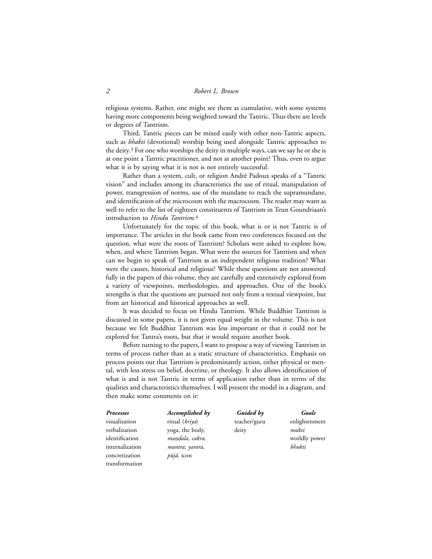religious systems. Rather, one might see them as cumulative, with some systems having more components being weighted toward the Tantric. Thus there are levels or degrees of Tantrism.

Third, Tantric pieces can be mixed easily with other non-Tantric aspects, such as *bhakti* (devotional) worship being used alongside Tantric approaches to the deity.3 For one who worships the deity in multiple ways, can we say he or she is at one point a Tantric practitioner, and not at another point? Thus, even to argue what it is by saying what it is not is not entirely successful.

Rather than a system, cult, or religion André Padoux speaks of a "Tantric vision" and includes among its characteristics the use of ritual, manipulation of power, transgression of norms, use of the mundane to reach the supramundane, and identification of the microcosm with the macrocosm. The reader may want as well to refer to the list of eighteen constituents of Tantrism in Teun Goundriaan's introduction to *Hindu Tantrism.*4

Unfortunately for the topic of this book, what is or is not Tantric is of importance. The articles in the book came from two conferences focused on the question, what were the roots of Tantrism? Scholars were asked to explore how, when, and where Tantrism began. What were the sources for Tantrism and when can we begin to speak of Tantrism as an independent religious tradition? What were the causes, historical and religious? While these questions are not answered fully in the papers of this volume, they are carefully and extensively explored from a variety of viewpoints, methodologies, and approaches. One of the book's strengths is that the questions are pursued not only from a textual viewpoint, but from art historical and historical approaches as well.

It was decided to focus on Hindu Tantrism. While Buddhist Tantrism is discussed in some papers, it is not given equal weight in the volume. This is not because we felt Buddhist Tantrism was less important or that it could not be explored for Tantra's roots, but that it would require another book.

Before turning to the papers, I want to propose a way of viewing Tantrism in terms of process rather than as a static structure of characteristics. Emphasis on process points out that Tantrism is predominantly action, either physical or mental, with less stress on belief, doctrine, or theology. It also allows identification of what is and is not Tantric in terms of application rather than in terms of the qualities and characteristics themselves. I will present the model in a diagram, and then make some comments on it:

| Processes       | Accomplished by           | Guided by    | Goals         |
|-----------------|---------------------------|--------------|---------------|
| visualization   | ritual (kriya)            | teacher/guru | enlightenment |
| verbalization   | yoga, the body,           | deity        | mukti         |
| identification  | mandala, cakra,           |              | worldly power |
| internalization | mantra, yantra,           |              | bhukti        |
| concretization  | $p\bar{u}j\bar{a}$ , icon |              |               |
| transformation  |                           |              |               |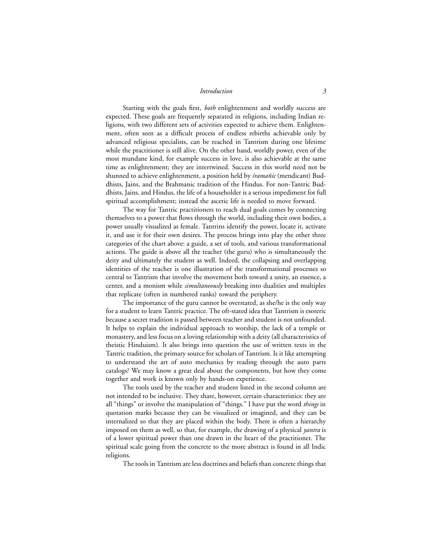Starting with the goals first, *both* enlightenment and worldly success are expected. These goals are frequently separated in religions, including Indian religions, with two different sets of activities expected to achieve them. Enlightenment, often seen as a difficult process of endless rebirths achievable only by advanced religious specialists, can be reached in Tantrism during one lifetime while the practitioner is still alive. On the other hand, worldly power, even of the most mundane kind, for example success in love, is also achievable at the same time as enlightenment; they are intertwined. Success in this world need not be shunned to achieve enlightenment, a position held by *´srama˜nic* (mendicant) Buddhists, Jains, and the Brahmanic tradition of the Hindus. For non-Tantric Buddhists, Jains, and Hindus, the life of a householder is a serious impediment for full spiritual accomplishment; instead the ascetic life is needed to move forward.

The way for Tantric practitioners to reach dual goals comes by connecting themselves to a power that flows through the world, including their own bodies, a power usually visualized as female. Tantrins identify the power, locate it, activate it, and use it for their own desires. The process brings into play the other three categories of the chart above: a guide, a set of tools, and various transformational actions. The guide is above all the teacher (the guru) who is simultaneously the deity and ultimately the student as well. Indeed, the collapsing and overlapping identities of the teacher is one illustration of the transformational processes so central to Tantrism that involve the movement both toward a unity, an essence, a center, and a monism while *simultaneously* breaking into dualities and multiples that replicate (often in numbered ranks) toward the periphery.

The importance of the guru cannot be overstated, as she/he is the only way for a student to learn Tantric practice. The oft-stated idea that Tantrism is esoteric because a secret tradition is passed between teacher and student is not unfounded. It helps to explain the individual approach to worship, the lack of a temple or monastery, and less focus on a loving relationship with a deity (all characteristics of theistic Hinduism). It also brings into question the use of written texts in the Tantric tradition, the primary source for scholars of Tantrism. Is it like attempting to understand the art of auto mechanics by reading through the auto parts catalogs? We may know a great deal about the components, but how they come together and work is known only by hands-on experience.

The tools used by the teacher and student listed in the second column are not intended to be inclusive. They share, however, certain characteristics: they are all "things" or involve the manipulation of "things." I have put the word *things* in quotation marks because they can be visualized or imagined, and they can be internalized so that they are placed within the body. There is often a hierarchy imposed on them as well, so that, for example, the drawing of a physical *yantra* is of a lower spiritual power than one drawn in the heart of the practitioner. The spiritual scale going from the concrete to the more abstract is found in all Indic religions.

The tools in Tantrism are less doctrines and beliefs than concrete things that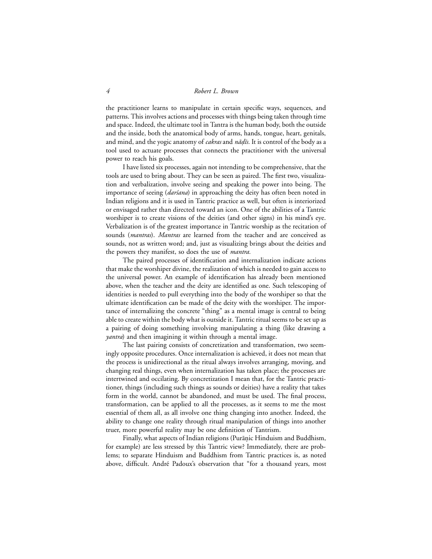the practitioner learns to manipulate in certain specific ways, sequences, and patterns. This involves actions and processes with things being taken through time and space. Indeed, the ultimate tool in Tantra is the human body, both the outside and the inside, both the anatomical body of arms, hands, tongue, heart, genitals, and mind, and the yogic anatomy of *cakras* and *nādīs*. It is control of the body as a tool used to actuate processes that connects the practitioner with the universal power to reach his goals.

I have listed six processes, again not intending to be comprehensive, that the tools are used to bring about. They can be seen as paired. The first two, visualization and verbalization, involve seeing and speaking the power into being. The importance of seeing (*dar'sana*) in approaching the deity has often been noted in Indian religions and it is used in Tantric practice as well, but often is interiorized or envisaged rather than directed toward an icon. One of the abilities of a Tantric worshiper is to create visions of the deities (and other signs) in his mind's eye. Verbalization is of the greatest importance in Tantric worship as the recitation of sounds (*mantras*). *Mantras* are learned from the teacher and are conceived as sounds, not as written word; and, just as visualizing brings about the deities and the powers they manifest, so does the use of *mantra.*

The paired processes of identification and internalization indicate actions that make the worshiper divine, the realization of which is needed to gain access to the universal power. An example of identification has already been mentioned above, when the teacher and the deity are identified as one. Such telescoping of identities is needed to pull everything into the body of the worshiper so that the ultimate identification can be made of the deity with the worshiper. The importance of internalizing the concrete "thing" as a mental image is central to being able to create within the body what is outside it. Tantric ritual seems to be set up as a pairing of doing something involving manipulating a thing (like drawing a *yantra*) and then imagining it within through a mental image.

The last pairing consists of concretization and transformation, two seemingly opposite procedures. Once internalization is achieved, it does not mean that the process is unidirectional as the ritual always involves arranging, moving, and changing real things, even when internalization has taken place; the processes are intertwined and occilating. By concretization I mean that, for the Tantric practitioner, things (including such things as sounds or deities) have a reality that takes form in the world, cannot be abandoned, and must be used. The final process, transformation, can be applied to all the processes, as it seems to me the most essential of them all, as all involve one thing changing into another. Indeed, the ability to change one reality through ritual manipulation of things into another truer, more powerful reality may be one definition of Tantrism.

Finally, what aspects of Indian religions (Purāṇic Hinduism and Buddhism, for example) are less stressed by this Tantric view? Immediately, there are problems; to separate Hinduism and Buddhism from Tantric practices is, as noted above, difficult. André Padoux's observation that "for a thousand years, most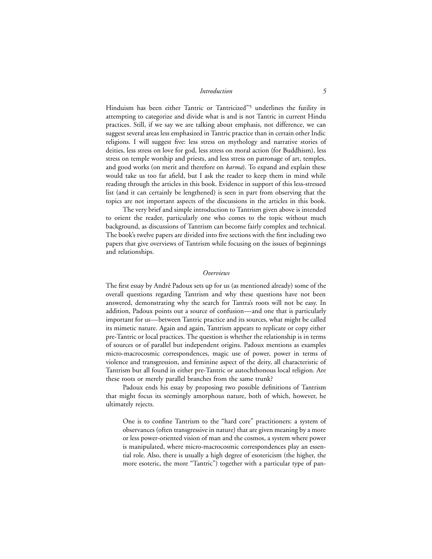Hinduism has been either Tantric or Tantricized"<sup>5</sup> underlines the futility in attempting to categorize and divide what is and is not Tantric in current Hindu practices. Still, if we say we are talking about emphasis, not difference, we can suggest several areas less emphasized in Tantric practice than in certain other Indic religions. I will suggest five: less stress on mythology and narrative stories of deities, less stress on love for god, less stress on moral action (for Buddhism), less stress on temple worship and priests, and less stress on patronage of art, temples, and good works (on merit and therefore on *karma*). To expand and explain these would take us too far afield, but I ask the reader to keep them in mind while reading through the articles in this book. Evidence in support of this less-stressed list (and it can certainly be lengthened) is seen in part from observing that the topics are not important aspects of the discussions in the articles in this book.

The very brief and simple introduction to Tantrism given above is intended to orient the reader, particularly one who comes to the topic without much background, as discussions of Tantrism can become fairly complex and technical. The book's twelve papers are divided into five sections with the first including two papers that give overviews of Tantrism while focusing on the issues of beginnings and relationships.

#### *Overviews*

The first essay by André Padoux sets up for us (as mentioned already) some of the overall questions regarding Tantrism and why these questions have not been answered, demonstrating why the search for Tantra's roots will not be easy. In addition, Padoux points out a source of confusion—and one that is particularly important for us—between Tantric practice and its sources, what might be called its mimetic nature. Again and again, Tantrism appears to replicate or copy either pre-Tantric or local practices. The question is whether the relationship is in terms of sources or of parallel but independent origins. Padoux mentions as examples micro-macrocosmic correspondences, magic use of power, power in terms of violence and transgression, and feminine aspect of the deity, all characteristic of Tantrism but all found in either pre-Tantric or autochthonous local religion. Are these roots or merely parallel branches from the same trunk?

Padoux ends his essay by proposing two possible definitions of Tantrism that might focus its seemingly amorphous nature, both of which, however, he ultimately rejects.

One is to confine Tantrism to the "hard core" practitioners: a system of observances (often transgressive in nature) that are given meaning by a more or less power-oriented vision of man and the cosmos, a system where power is manipulated, where micro-macrocosmic correspondences play an essential role. Also, there is usually a high degree of esotericism (the higher, the more esoteric, the more "Tantric") together with a particular type of pan-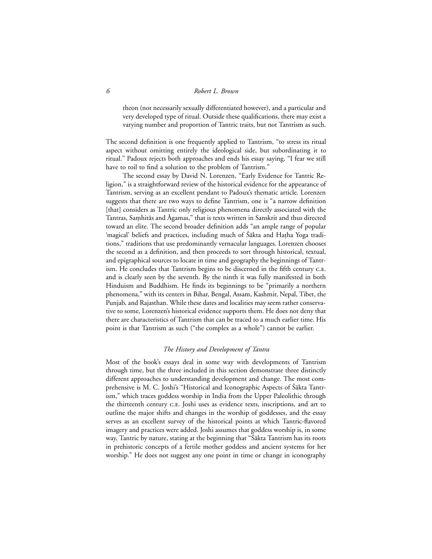#### *6 Robert L. Brown*

theon (not necessarily sexually differentiated however), and a particular and very developed type of ritual. Outside these qualifications, there may exist a varying number and proportion of Tantric traits, but not Tantrism as such.

The second definition is one frequently applied to Tantrism, "to stress its ritual aspect without omitting entirely the ideological side, but subordinating it to ritual." Padoux rejects both approaches and ends his essay saying, "I fear we still have to toil to find a solution to the problem of Tantrism."

The second essay by David N. Lorenzen, "Early Evidence for Tantric Religion," is a straightforward review of the historical evidence for the appearance of Tantrism, serving as an excellent pendant to Padoux's thematic article. Lorenzen suggests that there are two ways to define Tantrism, one is "a narrow definition [that] considers as Tantric only religious phenomena directly associated with the Tantras, Samhitās and Āgamas," that is texts written in Sanskrit and thus directed toward an elite. The second broader definition adds "an ample range of popular 'magical' beliefs and practices, including much of Śākta and Hatha Yoga traditions," traditions that use predominantly vernacular languages. Lorenzen chooses the second as a definition, and then proceeds to sort through historical, textual, and epigraphical sources to locate in time and geography the beginnings of Tantrism. He concludes that Tantrism begins to be discerned in the fifth century C.E. and is clearly seen by the seventh. By the ninth it was fully manifested in both Hinduism and Buddhism. He finds its beginnings to be "primarily a northern phenomena," with its centers in Bihar, Bengal, Assam, Kashmir, Nepal, Tibet, the Punjab, and Rajasthan. While these dates and localities may seem rather conservative to some, Lorenzen's historical evidence supports them. He does not deny that there are characteristics of Tantrism that can be traced to a much earlier time. His point is that Tantrism as such ("the complex as a whole") cannot be earlier.

## *The History and Development of Tantra*

Most of the book's essays deal in some way with developments of Tantrism through time, but the three included in this section demonstrate three distinctly different approaches to understanding development and change. The most comprehensive is M. C. Joshi's "Historical and Iconographic Aspects of Śākta Tantrism," which traces goddess worship in India from the Upper Paleolithic through the thirteenth century c.e. Joshi uses as evidence texts, inscriptions, and art to outline the major shifts and changes in the worship of goddesses, and the essay serves as an excellent survey of the historical points at which Tantric-flavored imagery and practices were added. Joshi assumes that goddess worship is, in some way, Tantric by nature, stating at the beginning that "Sākta Tantrism has its roots in prehistoric concepts of a fertile mother goddess and ancient systems for her worship." He does not suggest any one point in time or change in iconography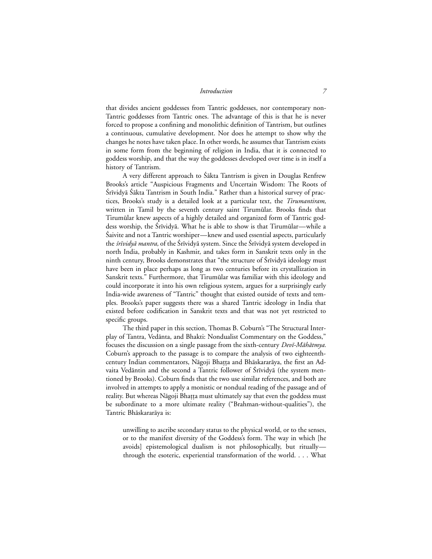that divides ancient goddesses from Tantric goddesses, nor contemporary non-Tantric goddesses from Tantric ones. The advantage of this is that he is never forced to propose a confining and monolithic definition of Tantrism, but outlines a continuous, cumulative development. Nor does he attempt to show why the changes he notes have taken place. In other words, he assumes that Tantrism exists in some form from the beginning of religion in India, that it is connected to goddess worship, and that the way the goddesses developed over time is in itself a history of Tantrism.

A very different approach to Śākta Tantrism is given in Douglas Renfrew Brooks's article "Auspicious Fragments and Uncertain Wisdom: The Roots of Śrīvidyā Śākta Tantrism in South India." Rather than a historical survey of practices, Brooks's study is a detailed look at a particular text, the *Tirumantiram,* written in Tamil by the seventh century saint Tirumūlar. Brooks finds that Tirumūlar knew aspects of a highly detailed and organized form of Tantric goddess worship, the Śrīvidyā. What he is able to show is that Tirumūlar—while a Saivite and not a Tantric worshiper—knew and used essential aspects, particularly ´ the *śrīvidyā mantra*, of the Srīvidyā system. Since the Srīvidyā system developed in north India, probably in Kashmir, and takes form in Sanskrit texts only in the ninth century, Brooks demonstrates that "the structure of Śrīvidyā ideology must have been in place perhaps as long as two centuries before its crystallization in Sanskrit texts." Furthermore, that Tirumūlar was familiar with this ideology and could incorporate it into his own religious system, argues for a surprisingly early India-wide awareness of "Tantric" thought that existed outside of texts and temples. Brooks's paper suggests there was a shared Tantric ideology in India that existed before codification in Sanskrit texts and that was not yet restricted to specific groups.

The third paper in this section, Thomas B. Coburn's "The Structural Interplay of Tantra, Vedānta, and Bhakti: Nondualist Commentary on the Goddess," focuses the discussion on a single passage from the sixth-century *Devī-Māhātmya*. Coburn's approach to the passage is to compare the analysis of two eighteenthcentury Indian commentators, Nāgoji Bhaṭṭa and Bhāskararāya, the first an Advaita Vedāntin and the second a Tantric follower of Srīvidyā (the system mentioned by Brooks). Coburn finds that the two use similar references, and both are involved in attempts to apply a monistic or nondual reading of the passage and of reality. But whereas Nāgoji Bhatta must ultimately say that even the goddess must be subordinate to a more ultimate reality ("Brahman-without-qualities"), the Tantric Bhāskararāya is:

unwilling to ascribe secondary status to the physical world, or to the senses, or to the manifest diversity of the Goddess's form. The way in which [he avoids] epistemological dualism is not philosophically, but ritually through the esoteric, experiential transformation of the world. . . . What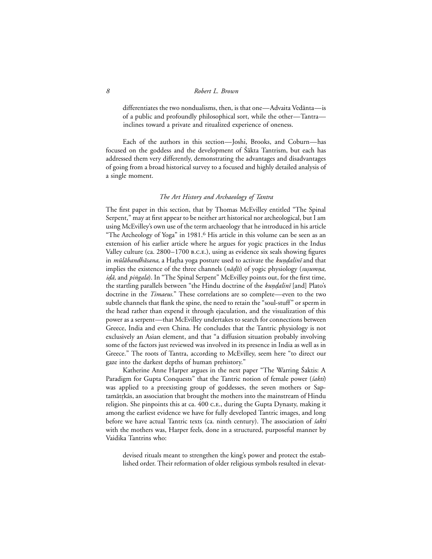differentiates the two nondualisms, then, is that one—Advaita Vedānta—is of a public and profoundly philosophical sort, while the other—Tantra inclines toward a private and ritualized experience of oneness.

Each of the authors in this section—Joshi, Brooks, and Coburn—has focused on the goddess and the development of Śākta Tantrism, but each has addressed them very differently, demonstrating the advantages and disadvantages of going from a broad historical survey to a focused and highly detailed analysis of a single moment.

### *The Art History and Archaeology of Tantra*

The first paper in this section, that by Thomas McEvilley entitled "The Spinal Serpent," may at first appear to be neither art historical nor archeological, but I am using McEvilley's own use of the term archaeology that he introduced in his article "The Archeology of Yoga" in 1981.6 His article in this volume can be seen as an extension of his earlier article where he argues for yogic practices in the Indus Valley culture (ca. 2800–1700 B.C.E.), using as evidence six seals showing figures in *mūlābandhāsana*, a Hatha yoga posture used to activate the *kundalinī* and that implies the existence of the three channels (*n* $\bar{a}d\bar{s}$ ) of yogic physiology (*susumna*, *idā*, and *pingala*). In "The Spinal Serpent" McEvilley points out, for the first time, the startling parallels between "the Hindu doctrine of the *kundalinī* [and] Plato's doctrine in the *Timaeus.*" These correlations are so complete—even to the two subtle channels that flank the spine, the need to retain the "soul-stuff" or sperm in the head rather than expend it through ejaculation, and the visualization of this power as a serpent—that McEvilley undertakes to search for connections between Greece, India and even China. He concludes that the Tantric physiology is not exclusively an Asian element, and that "a diffusion situation probably involving some of the factors just reviewed was involved in its presence in India as well as in Greece." The roots of Tantra, according to McEvilley, seem here "to direct our gaze into the darkest depths of human prehistory."

Katherine Anne Harper argues in the next paper "The Warring Śaktis: A Paradigm for Gupta Conquests" that the Tantric notion of female power (*śakti*) was applied to a preexisting group of goddesses, the seven mothers or Saptamātrkās, an association that brought the mothers into the mainstream of Hindu religion. She pinpoints this at ca. 400 c.e., during the Gupta Dynasty, making it among the earliest evidence we have for fully developed Tantric images, and long before we have actual Tantric texts (ca. ninth century). The association of *´sakti* with the mothers was, Harper feels, done in a structured, purposeful manner by Vaidika Tantrins who:

devised rituals meant to strengthen the king's power and protect the established order. Their reformation of older religious symbols resulted in elevat-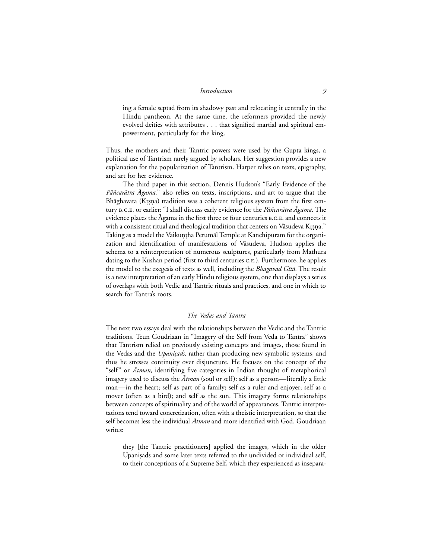ing a female septad from its shadowy past and relocating it centrally in the Hindu pantheon. At the same time, the reformers provided the newly evolved deities with attributes . . . that signified martial and spiritual empowerment, particularly for the king.

Thus, the mothers and their Tantric powers were used by the Gupta kings, a political use of Tantrism rarely argued by scholars. Her suggestion provides a new explanation for the popularization of Tantrism. Harper relies on texts, epigraphy, and art for her evidence.

The third paper in this section, Dennis Hudson's "Early Evidence of the *Pāñcarātra Āgama*," also relies on texts, inscriptions, and art to argue that the Bhāghavata (Krsna) tradition was a coherent religious system from the first century B.C.E. or earlier: "I shall discuss early evidence for the *Pāñcarātra Āgama*. The evidence places the Agama in the first three or four centuries B.C.E. and connects it with a consistent ritual and theological tradition that centers on Vāsudeva Krsna." Taking as a model the Vaikuntha Perumāl Temple at Kanchipuram for the organization and identification of manifestations of Vasudeva, Hudson applies the schema to a reinterpretation of numerous sculptures, particularly from Mathura dating to the Kushan period (first to third centuries C.E.). Furthermore, he applies the model to the exegesis of texts as well, including the *Bhagavad Gītā*. The result is a new interpretation of an early Hindu religious system, one that displays a series of overlaps with both Vedic and Tantric rituals and practices, and one in which to search for Tantra's roots.

#### *The Vedas and Tantra*

The next two essays deal with the relationships between the Vedic and the Tantric traditions. Teun Goudriaan in "Imagery of the Self from Veda to Tantra" shows that Tantrism relied on previously existing concepts and images, those found in the Vedas and the *Upanisads*, rather than producing new symbolic systems, and thus he stresses continuity over disjuncture. He focuses on the concept of the "self" or *Atman*, *identifying five categories in Indian thought of metaphorical* imagery used to discuss the  $\bar{A}$ *tman* (soul or self): self as a person—literally a little man—in the heart; self as part of a family; self as a ruler and enjoyer; self as a mover (often as a bird); and self as the sun. This imagery forms relationships between concepts of spirituality and of the world of appearances. Tantric interpretations tend toward concretization, often with a theistic interpretation, so that the self becomes less the individual *Ātman* and more identified with God. Goudriaan writes:

they [the Tantric practitioners] applied the images, which in the older Upanisads and some later texts referred to the undivided or individual self, ¸ to their conceptions of a Supreme Self, which they experienced as insepara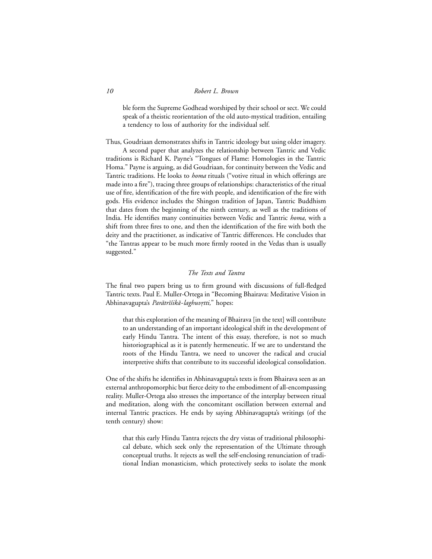ble form the Supreme Godhead worshiped by their school or sect. We could speak of a theistic reorientation of the old auto-mystical tradition, entailing a tendency to loss of authority for the individual self.

Thus, Goudriaan demonstrates shifts in Tantric ideology but using older imagery.

A second paper that analyzes the relationship between Tantric and Vedic traditions is Richard K. Payne's "Tongues of Flame: Homologies in the Tantric Homa." Payne is arguing, as did Goudriaan, for continuity between the Vedic and Tantric traditions. He looks to *homa* rituals ("votive ritual in which offerings are made into a fire"), tracing three groups of relationships: characteristics of the ritual use of fire, identification of the fire with people, and identification of the fire with gods. His evidence includes the Shingon tradition of Japan, Tantric Buddhism that dates from the beginning of the ninth century, as well as the traditions of India. He identifies many continuities between Vedic and Tantric *homa,* with a shift from three fires to one, and then the identification of the fire with both the deity and the practitioner, as indicative of Tantric differences. He concludes that "the Tantras appear to be much more firmly rooted in the Vedas than is usually suggested."

## *The Texts and Tantra*

The final two papers bring us to firm ground with discussions of full-fledged Tantric texts. Paul E. Muller-Ortega in "Becoming Bhairava: Meditative Vision in Abhinavagupta's *Parātrīśikā-laghuvrtti*," hopes:

that this exploration of the meaning of Bhairava [in the text] will contribute to an understanding of an important ideological shift in the development of early Hindu Tantra. The intent of this essay, therefore, is not so much historiographical as it is patently hermeneutic. If we are to understand the roots of the Hindu Tantra, we need to uncover the radical and crucial interpretive shifts that contribute to its successful ideological consolidation.

One of the shifts he identifies in Abhinavagupta's texts is from Bhairava seen as an external anthropomorphic but fierce deity to the embodiment of all-encompassing reality. Muller-Ortega also stresses the importance of the interplay between ritual and meditation, along with the concomitant oscillation between external and internal Tantric practices. He ends by saying Abhinavagupta's writings (of the tenth century) show:

that this early Hindu Tantra rejects the dry vistas of traditional philosophical debate, which seek only the representation of the Ultimate through conceptual truths. It rejects as well the self-enclosing renunciation of traditional Indian monasticism, which protectively seeks to isolate the monk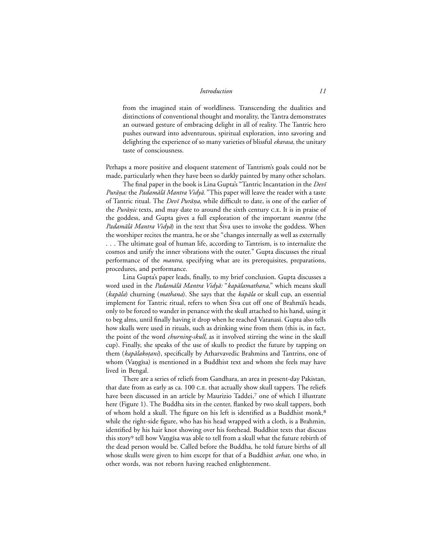from the imagined stain of worldliness. Transcending the dualities and distinctions of conventional thought and morality, the Tantra demonstrates an outward gesture of embracing delight in all of reality. The Tantric hero pushes outward into adventurous, spiritual exploration, into savoring and delighting the experience of so many varieties of blissful *ekarasa,* the unitary taste of consciousness.

Perhaps a more positive and eloquent statement of Tantrism's goals could not be made, particularly when they have been so darkly painted by many other scholars.

The final paper in the book is Lina Gupta's "Tantric Incantation in the *Devi Purāņa:* the *Padamālā Mantra Vidyā*. "This paper will leave the reader with a taste of Tantric ritual. The *Devī Purāṇa*, while difficult to date, is one of the earlier of the *Purānic* texts, and may date to around the sixth century c.e. It is in praise of the goddess, and Gupta gives a full exploration of the important *mantra* (the *Padamālā Mantra Vidyā*) in the text that Siva uses to invoke the goddess. When the worshiper recites the mantra, he or she "changes internally as well as externally . . . The ultimate goal of human life, according to Tantrism, is to internalize the cosmos and unify the inner vibrations with the outer." Gupta discusses the ritual performance of the *mantra,* specifying what are its prerequisites, preparations, procedures, and performance.

Lina Gupta's paper leads, finally, to my brief conclusion. Gupta discusses a word used in the *Padamālā Mantra Vidyā: "kapālamathana,*" which means skull (*kapāla*) churning (*mathana*). She says that the *kapāla* or skull cup, an essential implement for Tantric ritual, refers to when Siva cut off one of Brahma's heads, only to be forced to wander in penance with the skull attached to his hand, using it to beg alms, until finally having it drop when he reached Varanasi. Gupta also tells how skulls were used in rituals, such as drinking wine from them (this is, in fact, the point of the word *churning-skull,* as it involved stirring the wine in the skull cup). Finally, she speaks of the use of skulls to predict the future by tapping on them (kapālakoțani), specifically by Atharvavedic Brahmins and Tantrins, one of whom (Vangīsa) is mentioned in a Buddhist text and whom she feels may have lived in Bengal.

There are a series of reliefs from Gandhara, an area in present-day Pakistan, that date from as early as ca. 100 c.e. that actually show skull tappers. The reliefs have been discussed in an article by Maurizio Taddei,<sup>7</sup> one of which I illustrate here (Figure 1). The Buddha sits in the center, flanked by two skull tappers, both of whom hold a skull. The figure on his left is identified as a Buddhist monk,<sup>8</sup> while the right-side figure, who has his head wrapped with a cloth, is a Brahmin, identified by his hair knot showing over his forehead. Buddhist texts that discuss this story<sup>9</sup> tell how Vangīsa was able to tell from a skull what the future rebirth of the dead person would be. Called before the Buddha, he told future births of all whose skulls were given to him except for that of a Buddhist *arhat,* one who, in other words, was not reborn having reached enlightenment.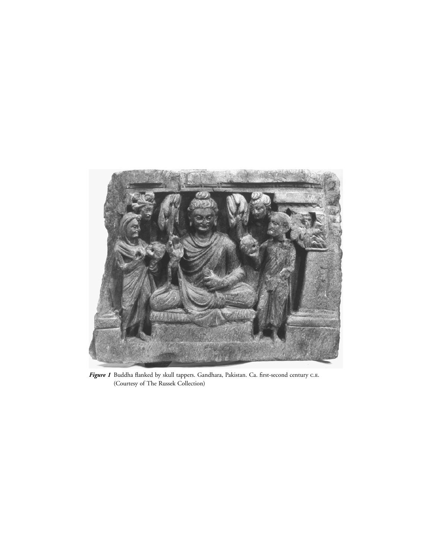

Figure 1 Buddha flanked by skull tappers. Gandhara, Pakistan. Ca. first-second century c.E. (Courtesy of The Russek Collection)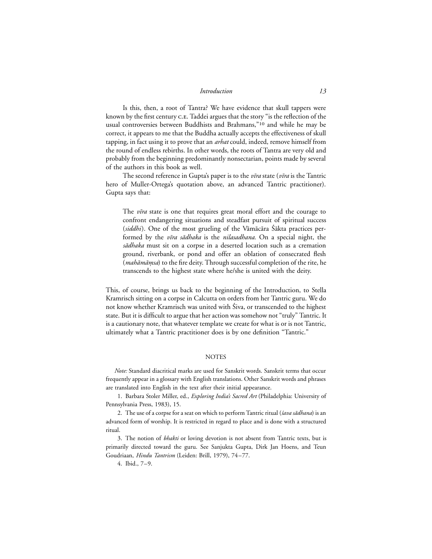Is this, then, a root of Tantra? We have evidence that skull tappers were known by the first century C.E. Taddei argues that the story "is the reflection of the usual controversies between Buddhists and Brahmans,"10 and while he may be correct, it appears to me that the Buddha actually accepts the effectiveness of skull tapping, in fact using it to prove that an *arhat* could, indeed, remove himself from the round of endless rebirths. In other words, the roots of Tantra are very old and probably from the beginning predominantly nonsectarian, points made by several of the authors in this book as well.

The second reference in Gupta's paper is to the *vīra* state (*vīra* is the Tantric hero of Muller-Ortega's quotation above, an advanced Tantric practitioner). Gupta says that:

The *vīra* state is one that requires great moral effort and the courage to confront endangering situations and steadfast pursuit of spiritual success (*siddhi*). One of the most grueling of the Vāmācāra Šākta practices performed by the *vīra sādhaka* is the *nilasadhana*. On a special night, the sādhaka must sit on a corpse in a deserted location such as a cremation ground, riverbank, or pond and offer an oblation of consecrated flesh (*mahāmāmsa*) to the fire deity. Through successful completion of the rite, he transcends to the highest state where he/she is united with the deity.

This, of course, brings us back to the beginning of the Introduction, to Stella Kramrisch sitting on a corpse in Calcutta on orders from her Tantric guru. We do not know whether Kramrisch was united with Siva, or transcended to the highest ´ state. But it is difficult to argue that her action was somehow not "truly" Tantric. It is a cautionary note, that whatever template we create for what is or is not Tantric, ultimately what a Tantric practitioner does is by one definition "Tantric."

#### **NOTES**

*Note:* Standard diacritical marks are used for Sanskrit words. Sanskrit terms that occur frequently appear in a glossary with English translations. Other Sanskrit words and phrases are translated into English in the text after their initial appearance.

1. Barbara Stoler Miller, ed., *Exploring India's Sacred Art* (Philadelphia: University of Pennsylvania Press, 1983), 15.

2. The use of a corpse for a seat on which to perform Tantric ritual (*´sava s¯adhana*) is an advanced form of worship. It is restricted in regard to place and is done with a structured ritual.

3. The notion of *bhakti* or loving devotion is not absent from Tantric texts, but is primarily directed toward the guru. See Sanjukta Gupta, Dirk Jan Hoens, and Teun Goudriaan, *Hindu Tantrism* (Leiden: Brill, 1979), 74–77.

4. Ibid., 7–9.